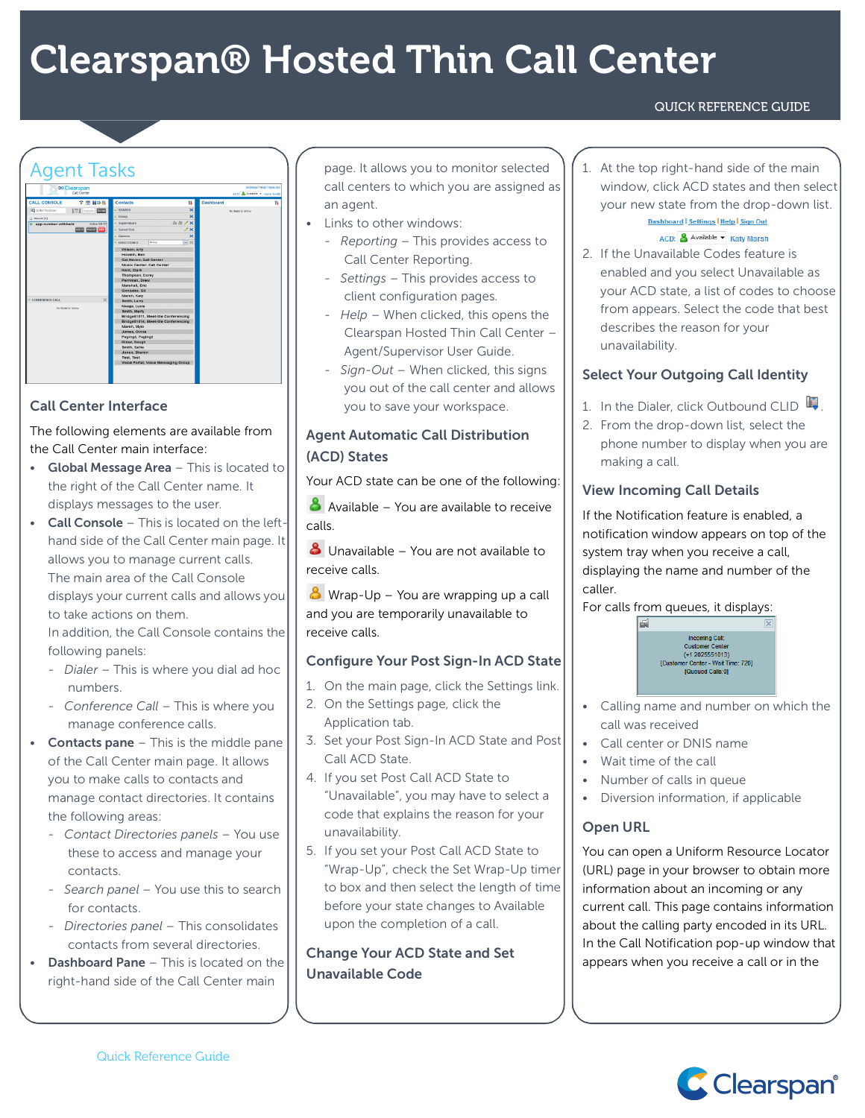# Clearspan® Hosted Thin Call Center

#### QUICK REFERENCE GUIDE

# Agent Tasks **DO Clearspan**

| $\Box$ Direct $(1)$                   | --------<br>.                       |
|---------------------------------------|-------------------------------------|
| Active 06:37<br>D app.number.withheld | 2021/ X<br>$\triangle$ Supervisors  |
| <b>EXID TRACE DID</b>                 | $\lambda$ x<br>A Speed Dial         |
|                                       | $\mathbf x$<br>A Queues             |
|                                       | x <br>Group<br><b>DIRECTORIES</b>   |
|                                       | Wilson, Arty                        |
|                                       | Howeth, Ben                         |
|                                       | Cat Haven, Call Center              |
|                                       | Music Center, Call Center           |
|                                       | Kent, Clark                         |
|                                       | Thompson, Corey                     |
|                                       | Perriman, Drew                      |
|                                       | Marshall, Eric                      |
|                                       | Gonzalez, Gill                      |
| $\mathbf{x}$                          | Marsh, Katy                         |
| <b>CONFERENCE CALL</b>                | Smith, Larry                        |
| No bears to show                      | Neaga, Lucia                        |
|                                       | Smith, Marty                        |
|                                       | Bridge51011, Meet-Me Conferencing   |
|                                       | Bridge51014, Meet-Me Conferencing   |
|                                       | Marsh, Mylo                         |
|                                       | James, Olivia                       |
|                                       | Pagino2, Pagino2                    |
|                                       | Rider, Rough                        |
|                                       | Smith, Sallie                       |
|                                       | Jones, Sharon                       |
|                                       | <b>Test, Test</b>                   |
|                                       | Voice Portal, Voice Messaging Group |
|                                       |                                     |

#### Call Center Interface

The following elements are available from the Call Center main interface:

- Global Message Area This is located to the right of the Call Center name. It displays messages to the user.
- Call Console This is located on the lefthand side of the Call Center main page. It allows you to manage current calls. The main area of the Call Console displays your current calls and allows you to take actions on them.

In addition, the Call Console contains the following panels:

- *Dialer* This is where you dial ad hoc numbers.
- *Conference Call* This is where you manage conference calls.
- **Contacts pane**  $-$  This is the middle pane of the Call Center main page. It allows you to make calls to contacts and manage contact directories. It contains the following areas:
	- *Contact Directories panels* You use these to access and manage your contacts.
	- *Search panel* You use this to search for contacts.
	- *Directories panel* This consolidates contacts from several directories.
- **Dashboard Pane This is located on the** right-hand side of the Call Center main

page. It allows you to monitor selected call centers to which you are assigned as an agent.

- Links to other windows:
	- *Reporting* This provides access to Call Center Reporting.
	- *Settings* This provides access to client configuration pages.
	- *Help* When clicked, this opens the Clearspan Hosted Thin Call Center – Agent/Supervisor User Guide.
	- *Sign*-*Out* When clicked, this signs you out of the call center and allows you to save your workspace.

# Agent Automatic Call Distribution (ACD) States

Your ACD state can be one of the following:

 $\triangle$  Available – You are available to receive calls.

**8** Unavailable – You are not available to receive calls.

 $\bullet$  Wrap-Up – You are wrapping up a call and you are temporarily unavailable to receive calls.

## Configure Your Post Sign-In ACD State

- 1. On the main page, click the Settings link.
- 2. On the Settings page, click the Application tab.
- 3. Set your Post Sign-In ACD State and Post Call ACD State.
- 4. If you set Post Call ACD State to "Unavailable", you may have to select a code that explains the reason for your unavailability.
- 5. If you set your Post Call ACD State to "Wrap-Up", check the Set Wrap-Up timer to box and then select the length of time before your state changes to Available upon the completion of a call.

Change Your ACD State and Set Unavailable Code

1. At the top right-hand side of the main window, click ACD states and then select your new state from the drop-down list. Dashboard | Settings | Help | Sign Out

#### ACD: Available v Katy Marsh

2. If the Unavailable Codes feature is enabled and you select Unavailable as your ACD state, a list of codes to choose from appears. Select the code that best describes the reason for your unavailability.

#### Select Your Outgoing Call Identity

- 1. In the Dialer, click Outbound CLID  $\blacksquare$ .
- 2. From the drop-down list, select the phone number to display when you are making a call.

#### View Incoming Call Details

If the Notification feature is enabled, a notification window appears on top of the system tray when you receive a call, displaying the name and number of the caller.

For calls from queues, it displays:



- Calling name and number on which the call was received
- Call center or DNIS name
- Wait time of the call
- Number of calls in queue
- Diversion information, if applicable

## Open URL

You can open a Uniform Resource Locator (URL) page in your browser to obtain more information about an incoming or any current call. This page contains information about the calling party encoded in its URL. In the Call Notification pop-up window that appears when you receive a call or in the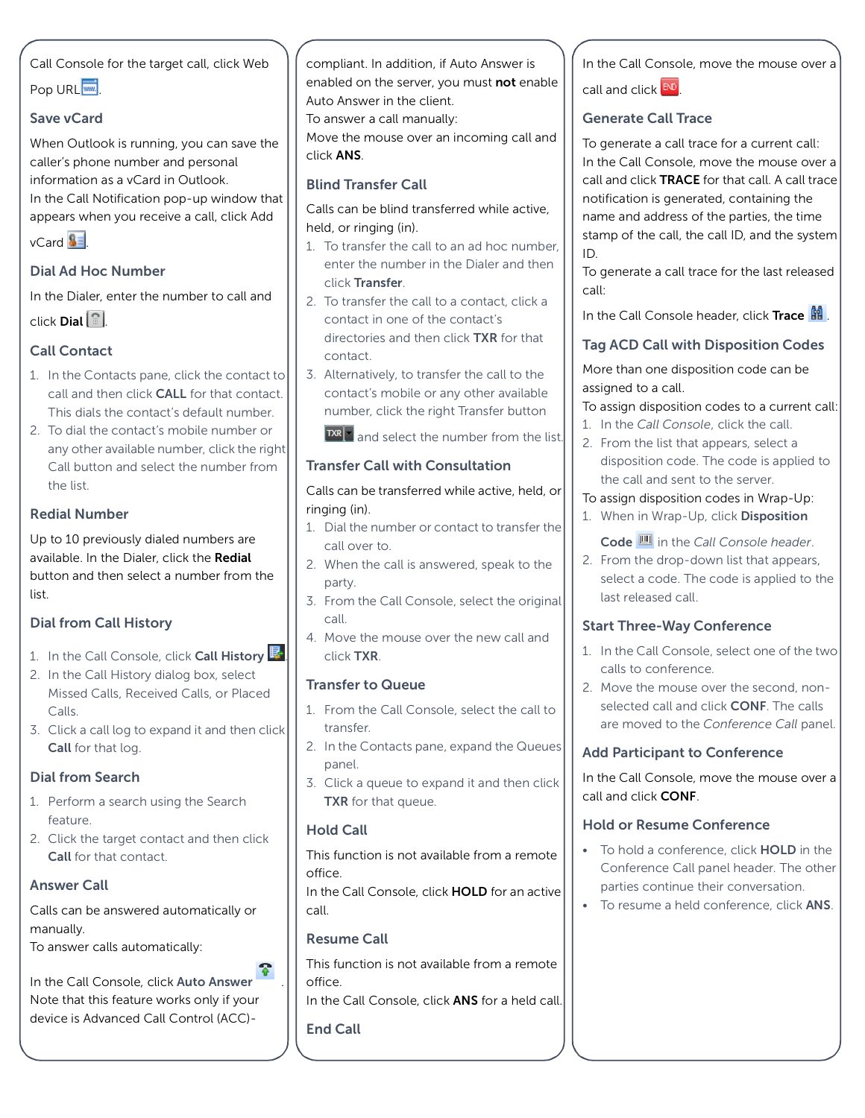Call Console for the target call, click Web

# Pop URL<sup>.....</sup>

#### Save vCard

When Outlook is running, you can save the caller's phone number and personal information as a vCard in Outlook.

In the Call Notification pop-up window that appears when you receive a call, click Add

 $vCard$  .

## Dial Ad Hoc Number

In the Dialer, enter the number to call and click Dial .

# Call Contact

- 1. In the Contacts pane, click the contact to call and then click CALL for that contact. This dials the contact's default number.
- 2. To dial the contact's mobile number or any other available number, click the right Call button and select the number from the list.

#### Redial Number

Up to 10 previously dialed numbers are available. In the Dialer, click the Redial button and then select a number from the list.

#### Dial from Call History

- 1. In the Call Console, click Call History  $\mathbb{R}$
- 2. In the Call History dialog box, select Missed Calls, Received Calls, or Placed Calls.
- 3. Click a call log to expand it and then click Call for that log.

## Dial from Search

- 1. Perform a search using the Search feature.
- 2. Click the target contact and then click Call for that contact.

#### Answer Call

Calls can be answered automatically or manually.

To answer calls automatically:

In the Call Console, click Auto Answer Note that this feature works only if your device is Advanced Call Control (ACC)-

compliant. In addition, if Auto Answer is enabled on the server, you must not enable Auto Answer in the client.

To answer a call manually:

Move the mouse over an incoming call and click ANS.

#### Blind Transfer Call

Calls can be blind transferred while active, held, or ringing (in).

- 1. To transfer the call to an ad hoc number, enter the number in the Dialer and then click Transfer.
- 2. To transfer the call to a contact, click a contact in one of the contact's directories and then click TXR for that contact.
- 3. Alternatively, to transfer the call to the contact's mobile or any other available number, click the right Transfer button

 $R<sub>a</sub>$  and select the number from the list.

#### Transfer Call with Consultation

#### Calls can be transferred while active, held, or ringing (in).

- 1. Dial the number or contact to transfer the call over to.
- 2. When the call is answered, speak to the party.
- 3. From the Call Console, select the original call.
- 4. Move the mouse over the new call and click TXR.

#### Transfer to Queue

- 1. From the Call Console, select the call to transfer.
- 2. In the Contacts pane, expand the Queues panel.
- 3. Click a queue to expand it and then click TXR for that queue.

#### Hold Call

This function is not available from a remote office.

In the Call Console, click **HOLD** for an active call.

#### Resume Call

This function is not available from a remote office.

In the Call Console, click **ANS** for a held call.

#### End Call

In the Call Console, move the mouse over a

call and click END

#### Generate Call Trace

To generate a call trace for a current call: In the Call Console, move the mouse over a call and click TRACE for that call. A call trace notification is generated, containing the name and address of the parties, the time stamp of the call, the call ID, and the system ID.

To generate a call trace for the last released call:

In the Call Console header, click Trace  $\frac{12}{11}$ .

# Tag ACD Call with Disposition Codes

More than one disposition code can be assigned to a call.

To assign disposition codes to a current call:

- 1. In the *Call Console*, click the call.
- 2. From the list that appears, select a disposition code. The code is applied to the call and sent to the server.

#### To assign disposition codes in Wrap-Up:

1. When in Wrap-Up, click Disposition

Code in the *Call Console header*.

2. From the drop-down list that appears, select a code. The code is applied to the last released call.

#### Start Three-Way Conference

- 1. In the Call Console, select one of the two calls to conference.
- 2. Move the mouse over the second, nonselected call and click CONF. The calls are moved to the *Conference Call* panel.

#### Add Participant to Conference

In the Call Console, move the mouse over a call and click CONF.

#### Hold or Resume Conference

- To hold a conference, click **HOLD** in the Conference Call panel header. The other parties continue their conversation.
- To resume a held conference, click **ANS**.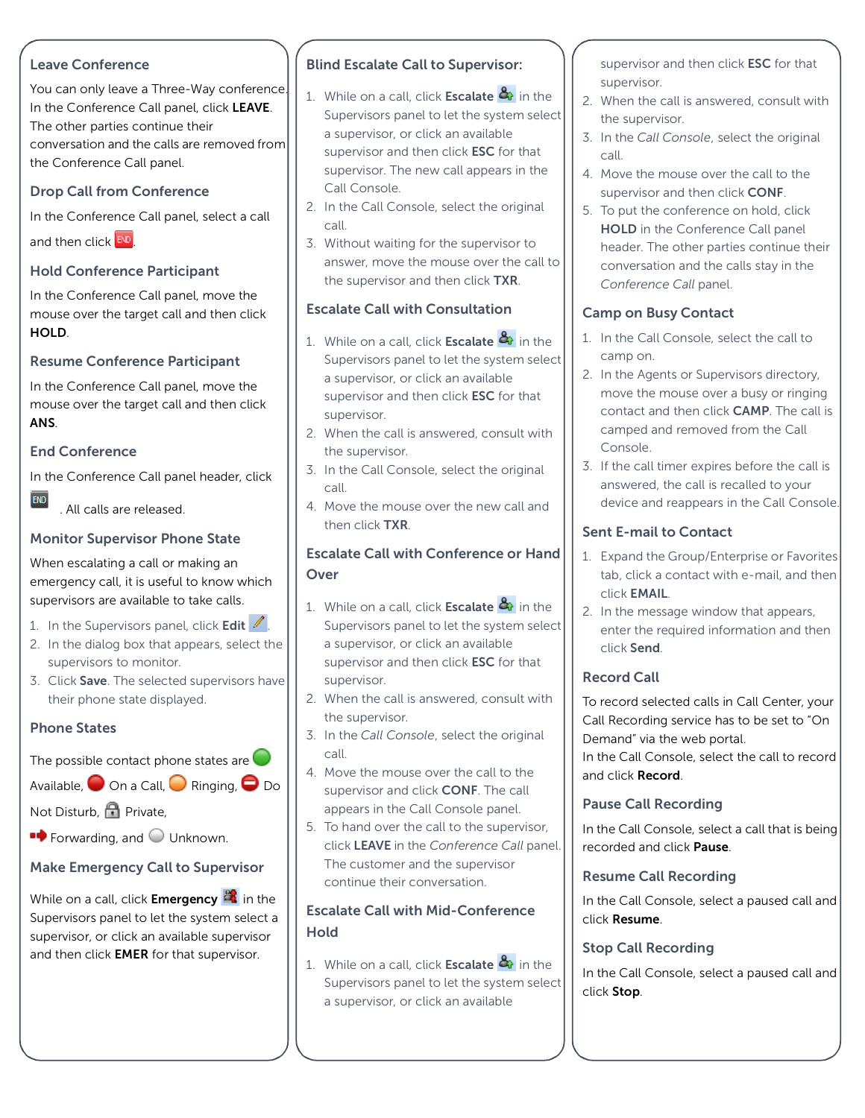#### Leave Conference

You can only leave a Three-Way conference. In the Conference Call panel, click LEAVE. The other parties continue their conversation and the calls are removed from the Conference Call panel.

## Drop Call from Conference

In the Conference Call panel, select a call

and then click END

#### Hold Conference Participant

In the Conference Call panel, move the mouse over the target call and then click HOLD.

#### Resume Conference Participant

In the Conference Call panel, move the mouse over the target call and then click ANS.

#### End Conference

In the Conference Call panel header, click

 $END$ 

. All calls are released.

## Monitor Supervisor Phone State

When escalating a call or making an emergency call, it is useful to know which supervisors are available to take calls.

- 1. In the Supervisors panel, click Edit  $\mathbb Z$ .
- 2. In the dialog box that appears, select the supervisors to monitor.
- 3. Click Save. The selected supervisors have their phone state displayed.

#### Phone States

# The possible contact phone states are  $\bigcirc$

Available,  $\bigcirc$  On a Call,  $\bigcirc$  Ringing,  $\bigcirc$  Do 4. Move the mouse over the call to the supervisor and click **CONF**. The call appears in the Call Console panel.

the supervisor.

supervisor.

call.

5. To hand over the call to the supervisor, click LEAVE in the *Conference Call* panel. The customer and the supervisor continue their conversation.

Blind Escalate Call to Supervisor:

a supervisor, or click an available supervisor and then click **ESC** for that supervisor. The new call appears in the

2. In the Call Console, select the original

3. Without waiting for the supervisor to answer, move the mouse over the call to the supervisor and then click TXR.

Escalate Call with Consultation

1. While on a call, click **Escalate**  $\mathbb{R}$  in the Supervisors panel to let the system select

2. When the call is answered, consult with

3. In the Call Console, select the original

4. Move the mouse over the new call and

Escalate Call with Conference or Hand

1. While on a call, click **Escalate**  $\mathbb{R}$  in the Supervisors panel to let the system select

2. When the call is answered, consult with

3. In the *Call Console*, select the original

a supervisor, or click an available supervisor and then click **ESC** for that

a supervisor, or click an available supervisor and then click **ESC** for that

Call Console.

supervisor.

call.

**Over** 

the supervisor.

then click TXR.

call.

1. While on a call, click **Escalate**  $\frac{a}{b}$  in the Supervisors panel to let the system select

# Escalate Call with Mid-Conference **Hold**

1. While on a call, click **Escalate**  $\mathbb{Z}_i$  in the Supervisors panel to let the system select a supervisor, or click an available

supervisor and then click **ESC** for that supervisor.

- 2. When the call is answered, consult with the supervisor.
- 3. In the *Call Console*, select the original call.
- 4. Move the mouse over the call to the supervisor and then click **CONF**.
- 5. To put the conference on hold, click HOLD in the Conference Call panel header. The other parties continue their conversation and the calls stay in the *Conference Call* panel.

# Camp on Busy Contact

- 1. In the Call Console, select the call to camp on.
- 2. In the Agents or Supervisors directory, move the mouse over a busy or ringing contact and then click CAMP. The call is camped and removed from the Call Console.
- 3. If the call timer expires before the call is answered, the call is recalled to your device and reappears in the Call Console.

# Sent E-mail to Contact

- 1. Expand the Group/Enterprise or Favorites tab, click a contact with e-mail, and then click EMAIL.
- 2. In the message window that appears, enter the required information and then click Send.

## Record Call

To record selected calls in Call Center, your Call Recording service has to be set to "On Demand" via the web portal.

In the Call Console, select the call to record and click Record.

## Pause Call Recording

In the Call Console, select a call that is being recorded and click Pause.

#### Resume Call Recording

In the Call Console, select a paused call and click Resume.

## Stop Call Recording

In the Call Console, select a paused call and click Stop.

# $\blacksquare$  Forwarding, and  $\bigcirc$  Unknown.

Not Disturb, **P**rivate,

## Make Emergency Call to Supervisor

While on a call, click **Emergency in** the Supervisors panel to let the system select a supervisor, or click an available supervisor and then click **EMER** for that supervisor.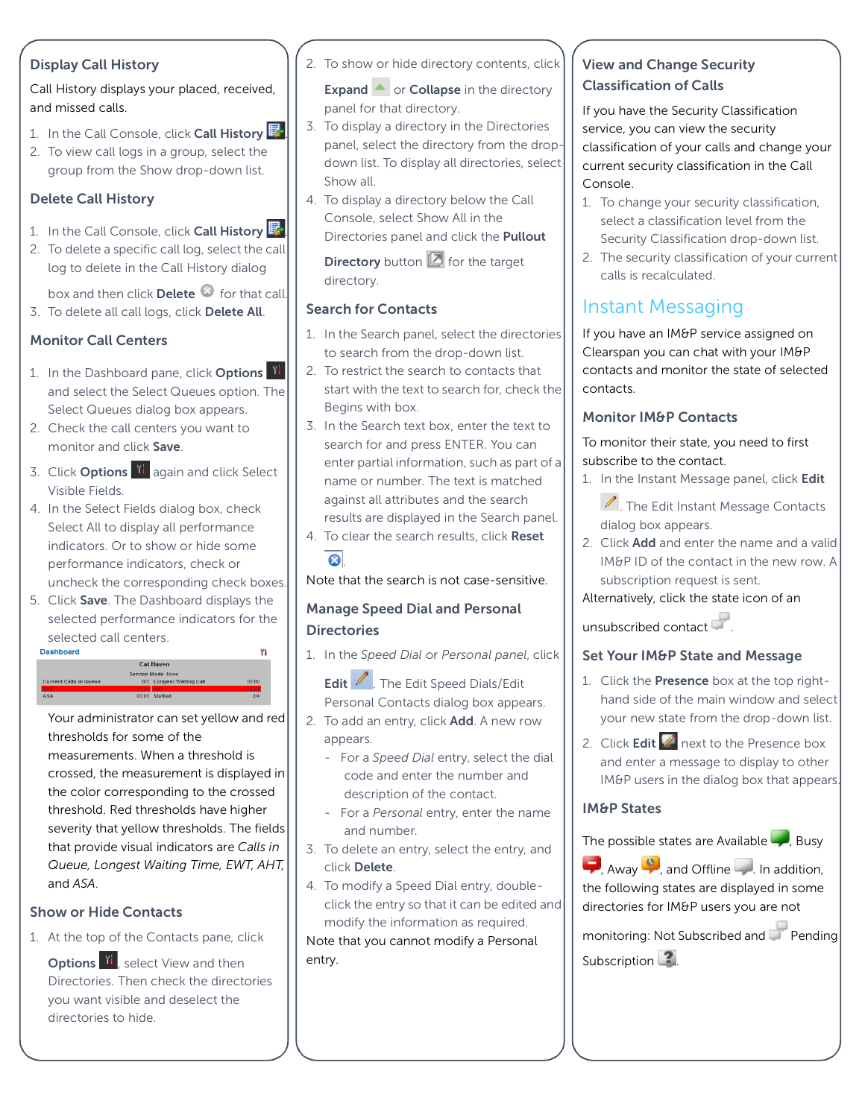#### Display Call History

Call History displays your placed, received, and missed calls.

- 1. In the Call Console, click Call History  $\mathbb{F}$ .
- 2. To view call logs in a group, select the group from the Show drop-down list.

## Delete Call History

- 1. In the Call Console, click Call History
- 2. To delete a specific call log, select the call log to delete in the Call History dialog

box and then click Delete  $\bullet$  for that call.

3. To delete all call logs, click Delete All.

# Monitor Call Centers

- 1. In the Dashboard pane, click Options and select the Select Queues option. The Select Queues dialog box appears.
- 2. Check the call centers you want to monitor and click Save.
- 3. Click Options **ii** again and click Select Visible Fields.
- 4. In the Select Fields dialog box, check Select All to display all performance indicators. Or to show or hide some performance indicators, check or uncheck the corresponding check boxes.
- 5. Click Save. The Dashboard displays the selected performance indicators for the selected call centers.



Your administrator can set yellow and red thresholds for some of the measurements. When a threshold is crossed, the measurement is displayed in the color corresponding to the crossed threshold. Red thresholds have higher severity that yellow thresholds. The fields that provide visual indicators are *Calls in Queue, Longest Waiting Time, EWT, AHT,*  and *ASA*.

## Show or Hide Contacts

1. At the top of the Contacts pane, click

Options **II**, select View and then Directories. Then check the directories you want visible and deselect the directories to hide.

2. To show or hide directory contents, click

Expand  $\triangleq$  or Collapse in the directory panel for that directory.

- 3. To display a directory in the Directories panel, select the directory from the dropdown list. To display all directories, select Show all.
- 4. To display a directory below the Call Console, select Show All in the Directories panel and click the **Pullout**

**Directory** button  $\Box$  for the target directory.

#### Search for Contacts

- 1. In the Search panel, select the directories to search from the drop-down list.
- 2. To restrict the search to contacts that start with the text to search for, check the Begins with box.
- 3. In the Search text box, enter the text to search for and press ENTER. You can enter partial information, such as part of a name or number. The text is matched against all attributes and the search results are displayed in the Search panel.
- 4. To clear the search results, click Reset .

Note that the search is not case-sensitive.

## Manage Speed Dial and Personal **Directories**

1. In the *Speed Dial* or *Personal panel*, click

Edit 1. The Edit Speed Dials/Edit Personal Contacts dialog box appears.

- 2. To add an entry, click Add. A new row appears.
	- For a *Speed Dial* entry, select the dial code and enter the number and description of the contact.
	- For a *Personal* entry, enter the name and number.
- 3. To delete an entry, select the entry, and click Delete.
- 4. To modify a Speed Dial entry, doubleclick the entry so that it can be edited and modify the information as required.

Note that you cannot modify a Personal entry.

# View and Change Security Classification of Calls

If you have the Security Classification service, you can view the security classification of your calls and change your current security classification in the Call Console.

- 1. To change your security classification, select a classification level from the Security Classification drop-down list.
- 2. The security classification of your current calls is recalculated.

# Instant Messaging

If you have an IM&P service assigned on Clearspan you can chat with your IM&P contacts and monitor the state of selected contacts.

# Monitor IM&P Contacts

To monitor their state, you need to first subscribe to the contact.

1. In the Instant Message panel, click Edit

**A.** The Edit Instant Message Contacts dialog box appears.

2. Click **Add** and enter the name and a valid IM&P ID of the contact in the new row. A subscription request is sent.

## Alternatively, click the state icon of an

unsubscribed contact .

# Set Your IM&P State and Message

- 1. Click the Presence box at the top righthand side of the main window and select your new state from the drop-down list.
- 2. Click Edit  $\mathbb Z$  next to the Presence box and enter a message to display to other IM&P users in the dialog box that appears.

#### IM&P States

The possible states are Available  $\Box$ , Busy

 $\Box$ , Away  $\Box$ , and Offline  $\Box$ . In addition, the following states are displayed in some directories for IM&P users you are not

monitoring: Not Subscribed and Pending Subscription  $\Box$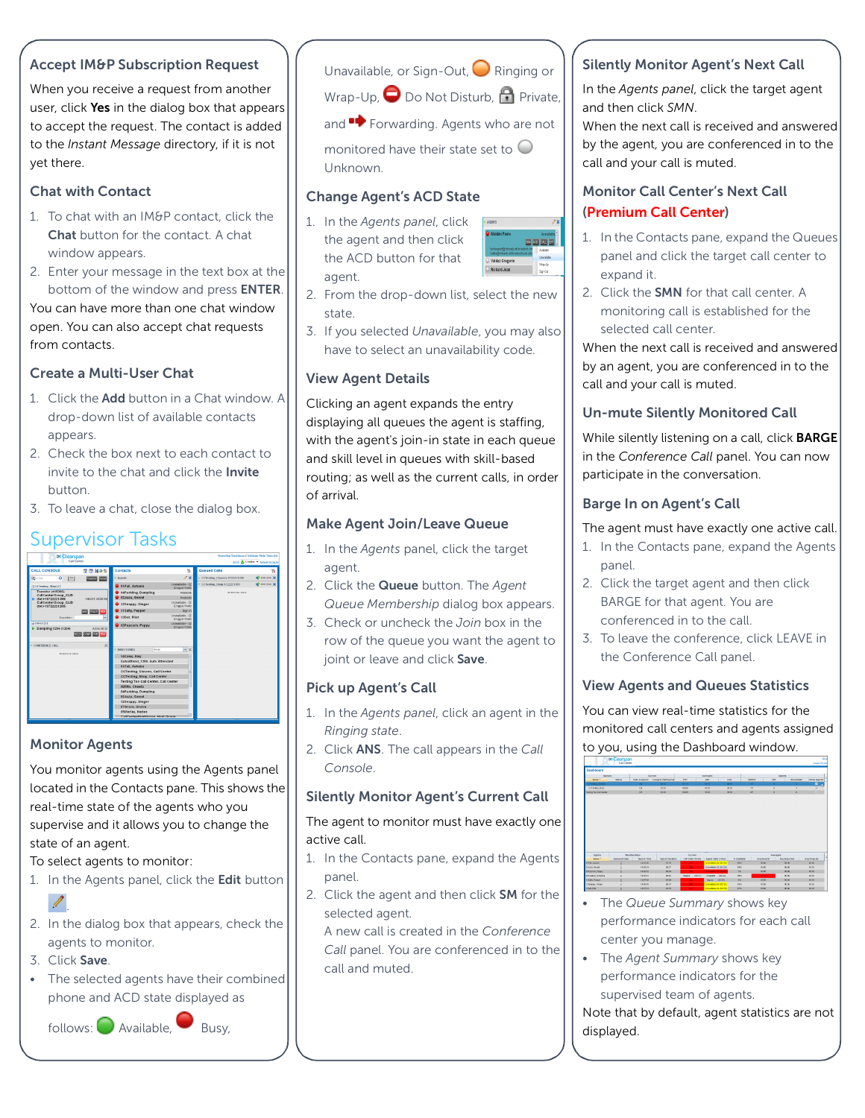#### Accept IM&P Subscription Request

When you receive a request from another user, click Yes in the dialog box that appears to accept the request. The contact is added to the *Instant Message* directory, if it is not yet there.

#### Chat with Contact

- 1. To chat with an IM&P contact, click the Chat button for the contact. A chat window appears.
- 2. Enter your message in the text box at the bottom of the window and press ENTER. You can have more than one chat window open. You can also accept chat requests from contacts.

#### Create a Multi-User Chat

- 1. Click the **Add** button in a Chat window. A drop-down list of available contacts appears.
- 2. Check the box next to each contact to invite to the chat and click the **Invite** button.
- 3. To leave a chat, close the dialog box.

# Supervisor Tasks



#### Monitor Agents

You monitor agents using the Agents panel located in the Contacts pane. This shows the real-time state of the agents who you supervise and it allows you to change the state of an agent.

To select agents to monitor:

1. In the Agents panel, click the **Edit** button

- 2. In the dialog box that appears, check the agents to monitor.
- 3. Click Save.

.

• The selected agents have their combined phone and ACD state displayed as

 $f$ ollows:  $\bigcirc$  Available, Busy,

Unavailable, or Sign-Out,  $\bigcirc$  Ringing or

Wrap-Up,  $\bigcirc$  Do Not Disturb,  $\bigcirc$  Private,

and **Forwarding.** Agents who are not

monitored have their state set to  $\bigcirc$ Unknown.

#### Change Agent's ACD State

1. In the *Agents panel*, click the agent and then click the ACD button for that agent.



- 2. From the drop-down list, select the new state.
- 3. If you selected *Unavailable*, you may also have to select an unavailability code.

#### View Agent Details

Clicking an agent expands the entry displaying all queues the agent is staffing, with the agent's join-in state in each queue and skill level in queues with skill-based routing; as well as the current calls, in order of arrival.

#### Make Agent Join/Leave Queue

- 1. In the *Agents* panel, click the target agent.
- 2. Click the Queue button. The *Agent Queue Membership* dialog box appears.
- 3. Check or uncheck the *Join* box in the row of the queue you want the agent to joint or leave and click Save.

#### Pick up Agent's Call

- 1. In the *Agents panel*, click an agent in the *Ringing state*.
- 2. Click ANS. The call appears in the *Call Console*.

#### Silently Monitor Agent's Current Call

The agent to monitor must have exactly one active call.

- 1. In the Contacts pane, expand the Agents panel.
- 2. Click the agent and then click SM for the selected agent.

A new call is created in the *Conference Call* panel. You are conferenced in to the call and muted.

#### Silently Monitor Agent's Next Call

In the *Agents panel*, click the target agent and then click *SMN*.

When the next call is received and answered by the agent, you are conferenced in to the call and your call is muted.

### Monitor Call Center's Next Call (Premium Call Center)

- 1. In the Contacts pane, expand the Queues panel and click the target call center to expand it.
- 2. Click the SMN for that call center. A monitoring call is established for the selected call center.

When the next call is received and answered by an agent, you are conferenced in to the call and your call is muted.

#### Un-mute Silently Monitored Call

While silently listening on a call, click BARGE in the *Conference Call* panel. You can now participate in the conversation.

#### Barge In on Agent's Call

The agent must have exactly one active call.

- 1. In the Contacts pane, expand the Agents panel.
- 2. Click the target agent and then click BARGE for that agent. You are conferenced in to the call.
- 3. To leave the conference, click LEAVE in the Conference Call panel.

#### View Agents and Queues Statistics

You can view real-time statistics for the monitored call centers and agents assigned to you, using the Dashboard window.



- The *Queue Summary* shows key performance indicators for each call center you manage.
- The *Agent Summary* shows key performance indicators for the supervised team of agents.

Note that by default, agent statistics are not displayed.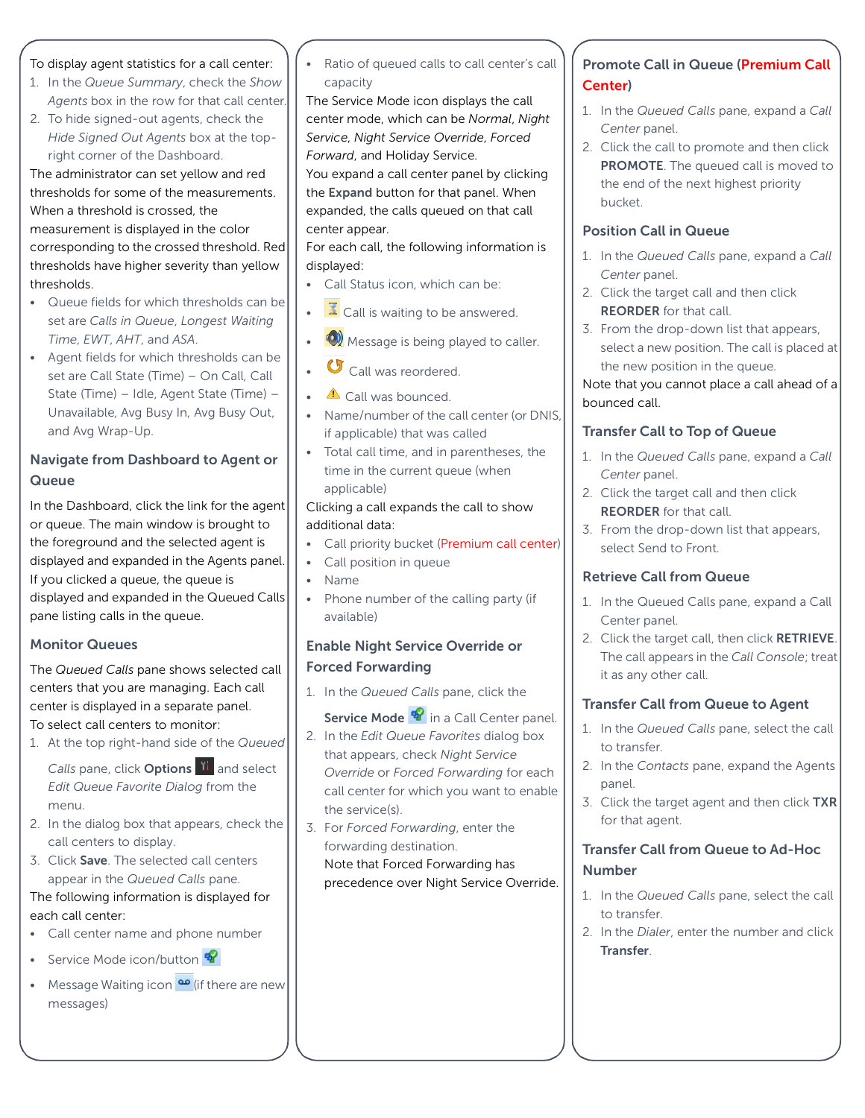#### To display agent statistics for a call center:

- 1. In the *Queue Summary*, check the *Show Agents* box in the row for that call center.
- 2. To hide signed-out agents, check the *Hide Signed Out Agents* box at the topright corner of the Dashboard.

The administrator can set yellow and red thresholds for some of the measurements. When a threshold is crossed, the measurement is displayed in the color corresponding to the crossed threshold. Red thresholds have higher severity than yellow thresholds.

- Queue fields for which thresholds can be set are *Calls in Queue*, *Longest Waiting Time*, *EWT*, *AHT*, and *ASA*.
- Agent fields for which thresholds can be set are Call State (Time) – On Call, Call State (Time) – Idle, Agent State (Time) – Unavailable, Avg Busy In, Avg Busy Out, and Avg Wrap-Up.

#### Navigate from Dashboard to Agent or **Queue**

In the Dashboard, click the link for the agent or queue. The main window is brought to the foreground and the selected agent is displayed and expanded in the Agents panel. If you clicked a queue, the queue is displayed and expanded in the Queued Calls pane listing calls in the queue.

#### Monitor Queues

The *Queued Calls* pane shows selected call centers that you are managing. Each call center is displayed in a separate panel. To select call centers to monitor:

1. At the top right-hand side of the *Queued*

*Calls* pane, click **Options If** and select *Edit Queue Favorite Dialog* from the menu.

- 2. In the dialog box that appears, check the call centers to display.
- 3. Click Save. The selected call centers appear in the *Queued Calls* pane.

#### The following information is displayed for each call center:

- Call center name and phone number
- Service Mode icon/button
- Message Waiting icon  $\frac{dP}{dr}$  (if there are new messages)

• Ratio of queued calls to call center's call capacity

The Service Mode icon displays the call center mode, which can be *Normal*, *Night Service*, *Night Service Override*, *Forced Forward*, and Holiday Service.

You expand a call center panel by clicking the Expand button for that panel. When expanded, the calls queued on that call center appear.

For each call, the following information is displayed:

- Call Status icon, which can be:
- $\bar{X}$  Call is waiting to be answered.
- **Message is being played to caller.**
- G Call was reordered.
- $\triangle$  Call was bounced.
- Name/number of the call center (or DNIS, if applicable) that was called
- Total call time, and in parentheses, the time in the current queue (when applicable)

#### Clicking a call expands the call to show additional data:

- Call priority bucket (Premium call center)
- Call position in queue
- Name
- Phone number of the calling party (if available)

#### Enable Night Service Override or Forced Forwarding

1. In the *Queued Calls* pane, click the

#### Service Mode <sup>19</sup> in a Call Center panel.

- 2. In the *Edit Queue Favorites* dialog box that appears, check *Night Service Override* or *Forced Forwarding* for each call center for which you want to enable the service(s).
- 3. For *Forced Forwarding*, enter the forwarding destination. Note that Forced Forwarding has precedence over Night Service Override.

# Promote Call in Queue (Premium Call Center)

- 1. In the *Queued Calls* pane, expand a *Call Center* panel.
- 2. Click the call to promote and then click PROMOTE. The queued call is moved to the end of the next highest priority bucket.

## Position Call in Queue

- 1. In the *Queued Calls* pane, expand a *Call Center* panel.
- 2. Click the target call and then click REORDER for that call.
- 3. From the drop-down list that appears, select a new position. The call is placed at the new position in the queue. Note that you cannot place a call ahead of a

bounced call.

# Transfer Call to Top of Queue

- 1. In the *Queued Calls* pane, expand a *Call Center* panel.
- 2. Click the target call and then click REORDER for that call.
- 3. From the drop-down list that appears, select Send to Front.

## Retrieve Call from Queue

- 1. In the Queued Calls pane, expand a Call Center panel.
- 2. Click the target call, then click RETRIEVE. The call appears in the *Call Console*; treat it as any other call.

## Transfer Call from Queue to Agent

- 1. In the *Queued Calls* pane, select the call to transfer.
- 2. In the *Contacts* pane, expand the Agents panel.
- 3. Click the target agent and then click TXR for that agent.

# Transfer Call from Queue to Ad-Hoc Number

- 1. In the *Queued Calls* pane, select the call to transfer.
- 2. In the *Dialer*, enter the number and click Transfer.